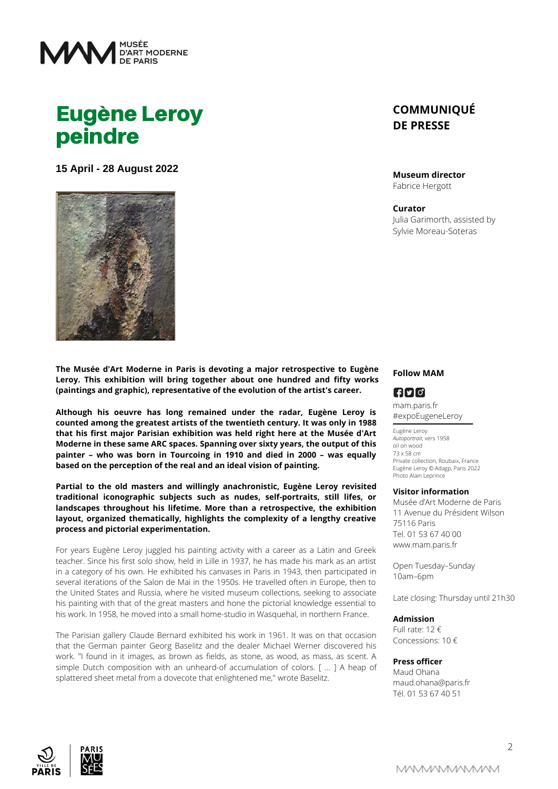

# Eugène Leroy peindre

**15 April - 28 August 2022**



**The Musée d'Art Moderne in Paris is devoting a major retrospective to Eugène Leroy. This exhibition will bring together about one hundred and fifty works (paintings and graphic), representative of the evolution of the artist's career.**

**Although his oeuvre has long remained under the radar, Eugène Leroy is counted among the greatest artists of the twentieth century. It was only in 1988 that his first major Parisian exhibition was held right here at the Musée d'Art Moderne in these same ARC spaces. Spanning over sixty years, the output of this painter – who was born in Tourcoing in 1910 and died in 2000 – was equally based on the perception of the real and an ideal vision of painting.**

**Partial to the old masters and willingly anachronistic, Eugène Leroy revisited traditional iconographic subjects such as nudes, self-portraits, still lifes, or landscapes throughout his lifetime. More than a retrospective, the exhibition layout, organized thematically, highlights the complexity of a lengthy creative process and pictorial experimentation.**

For years Eugène Leroy juggled his painting activity with a career as a Latin and Greek teacher. Since his first solo show, held in Lille in 1937, he has made his mark as an artist in a category of his own. He exhibited his canvases in Paris in 1943, then participated in several iterations of the Salon de Mai in the 1950s. He travelled often in Europe, then to the United States and Russia, where he visited museum collections, seeking to associate his painting with that of the great masters and hone the pictorial knowledge essential to his work. In 1958, he moved into a small home-studio in Wasquehal, in northern France.

The Parisian gallery Claude Bernard exhibited his work in 1961. lt was on that occasion that the German painter Georg BaseIitz and the dealer Michael Werner discovered his work. "I found in it images, as brown as fields, as stone, as wood, as mass, as scent. A simple Dutch composition with an unheard-of accumulation of colors. [ ... ] A heap of splattered sheet metal from a dovecote that enlightened me," wrote Baselitz.

## **COMMUNIQUÉ DE PRESSE**

#### **Museum director**

Fabrice Hergott

#### **Curator**

Julia Garimorth, assisted by Sylvie Moreau-Soteras

#### **Follow MAM**

### $FQ$

mam.paris.fr #expoEugeneLeroy

Eugène Leroy *Autoportrait*, vers 1958 oil on wood 73 x 58 cm Private collection, Roubaix, France Eugène Leroy © Adagp, Paris 2022 Photo Alain Leprince

#### **Visitor information**

Musée d'Art Moderne de Paris 11 Avenue du Président Wilson 75116 Paris Tel. 01 53 67 40 00 www.mam.paris.fr

Open Tuesday–Sunday 10am–6pm

Late closing: Thursday until 21h30

#### **Admission**

Full rate: 12 € Concessions: 10 €

#### **Press officer**

Maud Ohana maud.ohana@paris.fr Tél. 01 53 67 40 51